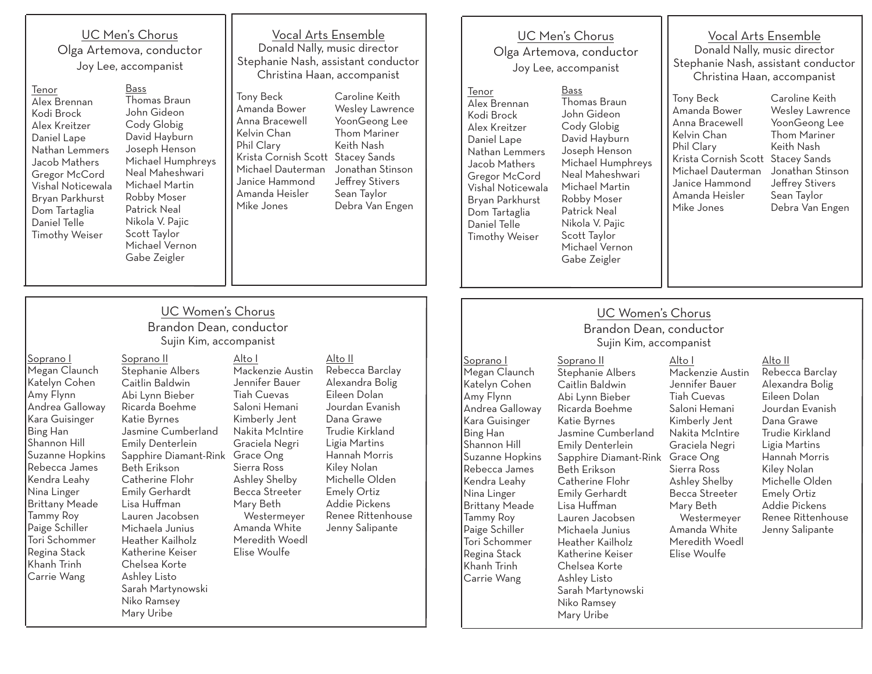UC Men's Chorus Olga Artemova, conductor Joy Lee, accompanist

Soprano II

Tenor Alex Brennan Kodi Brock Alex Kreitzer Daniel Lape Nathan Lemmers Jacob Mathers Gregor McCord Vishal Noticewala Bryan Parkhurst Dom Tartaglia Daniel Telle Timothy Weiser

Bass Thomas Braun John Gideon Cody Globig David Hayburn Joseph Henson Michael Humphreys Neal Maheshwari Michael Martin Robby Moser Patrick Neal Nikola V. Pajic Scott Taylor Michael Vernon Gabe Zeigler Tony Beck Kelvin Chan Phil Clary Mike Jones

### Vocal Arts Ensemble Donald Nally, music director Stephanie Nash, assistant conductor Christina Haan, accompanist

Caroline Keith Wesley Lawrence YoonGeong Lee Thom Mariner Keith Nash Krista Cornish Scott Stacey Sands Jonathan Stinson Jeffrey Stivers Sean Taylor Debra Van Engen Amanda Bower Anna Bracewell Michael Dauterman Janice Hammond Amanda Heisler

### UC Men's Chorus Olga Artemova, conductor Joy Lee, accompanist

Tenor Alex Brennan Kodi Brock Alex Kreitzer Daniel Lape Nathan Lemmers Jacob Mathers Gregor McCord Vishal Noticewala Bryan Parkhurst Dom Tartaglia Daniel Telle Timothy Weiser

Bass Thomas Braun John Gideon Cody Globig David Hayburn Joseph Henson Michael Humphreys Neal Maheshwari Michael Martin Robby Moser Patrick Neal Nikola V. Pajic Scott Taylor Michael Vernon Gabe Zeigler

Vocal Arts Ensemble Donald Nally, music director Stephanie Nash, assistant conductor Christina Haan, accompanist

Krista Cornish Scott Stacey Sands Tony Beck Amanda Bower Anna Bracewell Kelvin Chan Phil Clary Michael Dauterman Janice Hammond Amanda Heisler Mike Jones

Caroline Keith Wesley Lawrence YoonGeong Lee Thom Mariner Keith Nash Jonathan Stinson Jeffrey Stivers Sean Taylor Debra Van Engen

## UC Women's Chorus

### Brandon Dean, conductor Sujin Kim, accompanist

Megan Claunch Katelyn Cohen Andrea Galloway Kara Guisinger Shannon Hill Suzanne Hopkins Rebecca James Kendra Leahy Nina Linger Brittany Meade Tammy Roy Paige Schiller Tori Schommer Regina Stack Khanh Trinh Carrie Wang

Soprano II Stephanie Albers Caitlin Baldwin Abi Lynn Bieber Ricarda Boehme Katie Byrnes Jasmine Cumberland Emily Denterlein Beth Erikson Catherine Flohr Emily Gerhardt Lisa Huffman Lauren Jacobsen Michaela Junius Heather Kailholz Katherine Keiser Chelsea Korte Ashley Listo Sarah Martynowski Niko Ramsey Mary Uribe

Alto I Mackenzie Austin Jennifer Bauer Tiah Cuevas Saloni Hemani Kimberly Jent Nakita McIntire Graciela Negri Sierra Ross Ashley Shelby Becca Streeter Mary Beth Westermeyer Amanda White Meredith Woedl Elise Woulfe

Alto II Rebecca Barclay Alexandra Bolig Eileen Dolan Jourdan Evanish Dana Grawe Trudie Kirkland Ligia Martins Hannah Morris Kiley Nolan Michelle Olden Emely Ortiz Addie Pickens Renee Rittenhouse Jenny Salipante

### UC Women's Chorus Brandon Dean, conductor Sujin Kim, accompanist

Alto I

Soprano I Megan Claunch Katelyn Cohen Amy Flynn Andrea Galloway Kara Guisinger Bing Han Shannon Hill Suzanne Hopkins Rebecca James Kendra Leahy Nina Linger Brittany Meade Tammy Roy Paige Schiller Tori Schommer Regina Stack Khanh Trinh Carrie Wang

Stephanie Albers Caitlin Baldwin Abi Lynn Bieber Ricarda Boehme Katie Byrnes Jasmine Cumberland Emily Denterlein Sapphire Diamant-Rink Grace Ong Beth Erikson Catherine Flohr Emily Gerhardt Lisa Huffman Lauren Jacobsen Michaela Junius Heather Kailholz Katherine Keiser Chelsea Korte Ashley Listo Mackenzie Austin Jennifer Bauer Tiah Cuevas Saloni Hemani Kimberly Jent Nakita McIntire Graciela Negri Sierra Ross Ashley Shelby Becca Streeter Mary Beth Westermeyer Amanda White Meredith Woedl Elise Woulfe

Sarah Martynowski Niko Ramsey Mary Uribe

Rebecca Barclay Alexandra Bolig Eileen Dolan Jourdan Evanish Dana Grawe Trudie Kirkland Ligia Martins Hannah Morris Kiley Nolan Michelle Olden Emely Ortiz Addie Pickens Renee Rittenhouse Jenny Salipante

Alto II

# Soprano I Amy Flynn Bing Han

# Sapphire Diamant-Rink Grace Ong